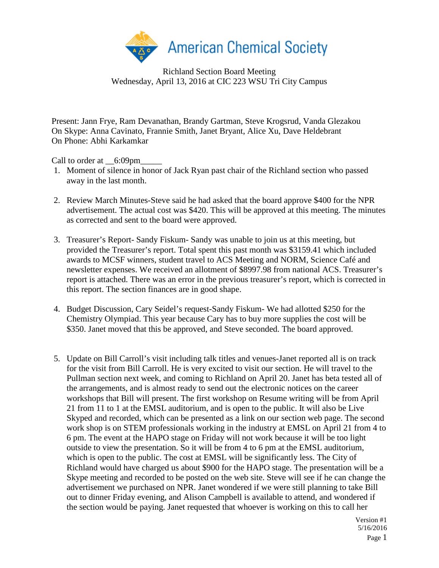

Richland Section Board Meeting Wednesday, April 13, 2016 at CIC 223 WSU Tri City Campus

Present: Jann Frye, Ram Devanathan, Brandy Gartman, Steve Krogsrud, Vanda Glezakou On Skype: Anna Cavinato, Frannie Smith, Janet Bryant, Alice Xu, Dave Heldebrant On Phone: Abhi Karkamkar

Call to order at \_\_6:09pm\_

- 1. Moment of silence in honor of Jack Ryan past chair of the Richland section who passed away in the last month.
- 2. Review March Minutes-Steve said he had asked that the board approve \$400 for the NPR advertisement. The actual cost was \$420. This will be approved at this meeting. The minutes as corrected and sent to the board were approved.
- 3. Treasurer's Report- Sandy Fiskum- Sandy was unable to join us at this meeting, but provided the Treasurer's report. Total spent this past month was \$3159.41 which included awards to MCSF winners, student travel to ACS Meeting and NORM, Science Café and newsletter expenses. We received an allotment of \$8997.98 from national ACS. Treasurer's report is attached. There was an error in the previous treasurer's report, which is corrected in this report. The section finances are in good shape.
- 4. Budget Discussion, Cary Seidel's request-Sandy Fiskum- We had allotted \$250 for the Chemistry Olympiad. This year because Cary has to buy more supplies the cost will be \$350. Janet moved that this be approved, and Steve seconded. The board approved.
- 5. Update on Bill Carroll's visit including talk titles and venues-Janet reported all is on track for the visit from Bill Carroll. He is very excited to visit our section. He will travel to the Pullman section next week, and coming to Richland on April 20. Janet has beta tested all of the arrangements, and is almost ready to send out the electronic notices on the career workshops that Bill will present. The first workshop on Resume writing will be from April 21 from 11 to 1 at the EMSL auditorium, and is open to the public. It will also be Live Skyped and recorded, which can be presented as a link on our section web page. The second work shop is on STEM professionals working in the industry at EMSL on April 21 from 4 to 6 pm. The event at the HAPO stage on Friday will not work because it will be too light outside to view the presentation. So it will be from 4 to 6 pm at the EMSL auditorium, which is open to the public. The cost at EMSL will be significantly less. The City of Richland would have charged us about \$900 for the HAPO stage. The presentation will be a Skype meeting and recorded to be posted on the web site. Steve will see if he can change the advertisement we purchased on NPR. Janet wondered if we were still planning to take Bill out to dinner Friday evening, and Alison Campbell is available to attend, and wondered if the section would be paying. Janet requested that whoever is working on this to call her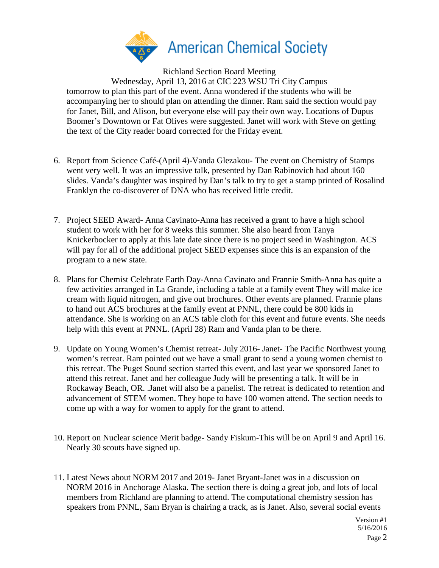

Richland Section Board Meeting

Wednesday, April 13, 2016 at CIC 223 WSU Tri City Campus tomorrow to plan this part of the event. Anna wondered if the students who will be accompanying her to should plan on attending the dinner. Ram said the section would pay for Janet, Bill, and Alison, but everyone else will pay their own way. Locations of Dupus Boomer's Downtown or Fat Olives were suggested. Janet will work with Steve on getting the text of the City reader board corrected for the Friday event.

- 6. Report from Science Café-(April 4)-Vanda Glezakou- The event on Chemistry of Stamps went very well. It was an impressive talk, presented by Dan Rabinovich had about 160 slides. Vanda's daughter was inspired by Dan's talk to try to get a stamp printed of Rosalind Franklyn the co-discoverer of DNA who has received little credit.
- 7. Project SEED Award- Anna Cavinato-Anna has received a grant to have a high school student to work with her for 8 weeks this summer. She also heard from Tanya Knickerbocker to apply at this late date since there is no project seed in Washington. ACS will pay for all of the additional project SEED expenses since this is an expansion of the program to a new state.
- 8. Plans for Chemist Celebrate Earth Day-Anna Cavinato and Frannie Smith-Anna has quite a few activities arranged in La Grande, including a table at a family event They will make ice cream with liquid nitrogen, and give out brochures. Other events are planned. Frannie plans to hand out ACS brochures at the family event at PNNL, there could be 800 kids in attendance. She is working on an ACS table cloth for this event and future events. She needs help with this event at PNNL. (April 28) Ram and Vanda plan to be there.
- 9. Update on Young Women's Chemist retreat- July 2016- Janet- The Pacific Northwest young women's retreat. Ram pointed out we have a small grant to send a young women chemist to this retreat. The Puget Sound section started this event, and last year we sponsored Janet to attend this retreat. Janet and her colleague Judy will be presenting a talk. It will be in Rockaway Beach, OR. .Janet will also be a panelist. The retreat is dedicated to retention and advancement of STEM women. They hope to have 100 women attend. The section needs to come up with a way for women to apply for the grant to attend.
- 10. Report on Nuclear science Merit badge- Sandy Fiskum-This will be on April 9 and April 16. Nearly 30 scouts have signed up.
- 11. Latest News about NORM 2017 and 2019- Janet Bryant-Janet was in a discussion on NORM 2016 in Anchorage Alaska. The section there is doing a great job, and lots of local members from Richland are planning to attend. The computational chemistry session has speakers from PNNL, Sam Bryan is chairing a track, as is Janet. Also, several social events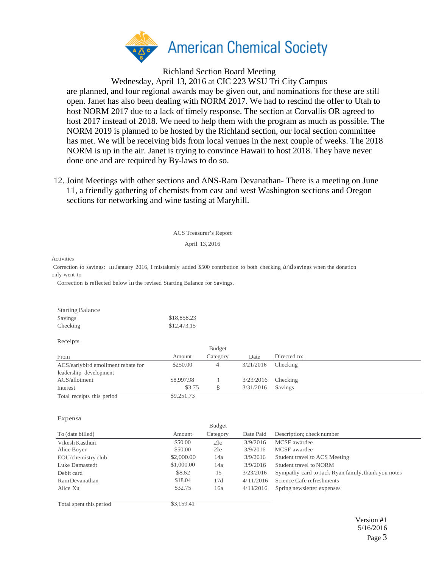

Richland Section Board Meeting

Wednesday, April 13, 2016 at CIC 223 WSU Tri City Campus are planned, and four regional awards may be given out, and nominations for these are still open. Janet has also been dealing with NORM 2017. We had to rescind the offer to Utah to host NORM 2017 due to a lack of timely response. The section at Corvallis OR agreed to host 2017 instead of 2018. We need to help them with the program as much as possible. The NORM 2019 is planned to be hosted by the Richland section, our local section committee has met. We will be receiving bids from local venues in the next couple of weeks. The 2018 NORM is up in the air. Janet is trying to convince Hawaii to host 2018. They have never done one and are required by By-laws to do so.

12. Joint Meetings with other sections and ANS-Ram Devanathan- There is a meeting on June 11, a friendly gathering of chemists from east and west Washington sections and Oregon sections for networking and wine tasting at Maryhill.

ACS Treasurer's Report

April 13, 2016

Activities

Correction to savings: in January 2016, I mistakenly added \$500 contrbution to both checking and savings when the donation only went to

Correction is reflected below in the revised Starting Balance for Savings.

| <b>Starting Balance</b> |             |
|-------------------------|-------------|
| Savings                 | \$18,858.23 |
| Checking                | \$12,473.15 |

| Receipts                           |            |          |                      |              |  |
|------------------------------------|------------|----------|----------------------|--------------|--|
|                                    |            | Budget   |                      |              |  |
| From                               | Amount     | Category | Date                 | Directed to: |  |
| ACS/earlybird emollment rebate for | \$250.00   |          | 3/21/2016            | Checking     |  |
| leadership development             |            |          |                      |              |  |
| ACS/allotment                      | \$8,997.98 |          | $3/23/2016$ Checking |              |  |
| Interest                           | \$3.75     |          | 3/31/2016            | Savings      |  |
| Total receipts this period         | \$9,251.73 |          |                      |              |  |

## Expensa

|                    |            | Budget   |           |                                                    |
|--------------------|------------|----------|-----------|----------------------------------------------------|
| To (date billed)   | Amount     | Category | Date Paid | Description; check number                          |
| Vikesh Kasthuri    | \$50.00    | 21e      | 3/9/2016  | MCSF awardee                                       |
| Alice Boyer        | \$50.00    | 2le      | 3/9/2016  | MCSF awardee                                       |
| EOU/chemistry club | \$2,000.00 | 14a      | 3/9/2016  | Student travel to ACS Meeting                      |
| Luke Damastedt     | \$1,000.00 | 14a      | 3/9/2016  | Student travel to NORM                             |
| Debit card         | \$8.62     | 15       | 3/23/2016 | Sympathy card to Jack Ryan family, thank you notes |
| Ram Devanathan     | \$18.04    | 17d      | 4/11/2016 | Science Cafe refreshments                          |
| Alice Xu           | \$32.75    | 16a      | 4/11/2016 | Spring newsletter expenses                         |
|                    |            |          |           |                                                    |

Total spent this period \$3,159.41